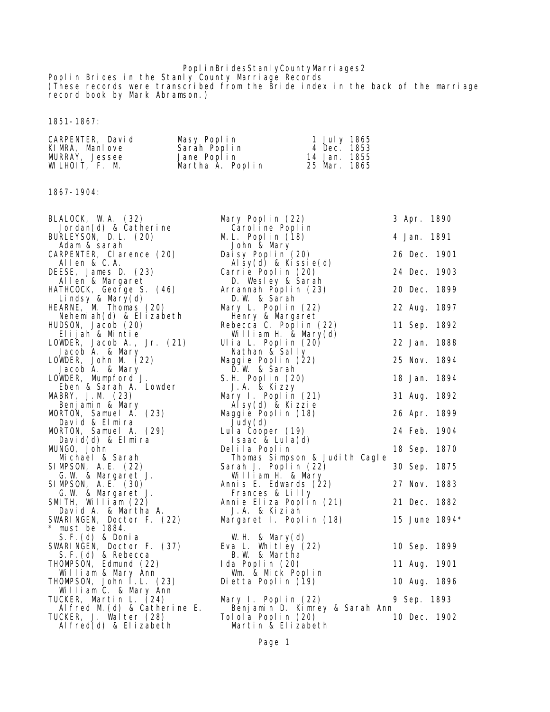## PoplinBridesStanlyCountyMarriages2

Poplin Brides in the Stanly County Marriage Records (These records were transcribed from the Bride index in the back of the marriage record book by Mark Abramson.)

1851-1867:

| <b>CARPENTER, David</b> | <b>Masy Poplin</b> | 1 July 1865  |
|-------------------------|--------------------|--------------|
| <b>KIMRA.</b> Manlove   | Sarah Poplin       | 4 Dec. 1853  |
| <b>MJRRAY.</b> Jessee   | Jane Poplin        | 14 Jan. 1855 |
| WLHDIT, F. M            | Martha À. Poplin   | 25 Mar. 1865 |

1867-1904:

| <b>BLALOCK, WA. (32)</b>                        | Mary Poplin (22)                                                             | 3 Apr. 1890   |  |
|-------------------------------------------------|------------------------------------------------------------------------------|---------------|--|
| Jordan(d) & Catherine                           | Caroline Poplin                                                              |               |  |
| <b>BURLEYSON, D. L. (20)</b><br>Adam & sarah    | ML. Poplin (18)<br><b>John &amp; Mary</b>                                    | 4 Jan. 1891   |  |
| <b>CARPENTER, Clarence (20)</b><br>Allen & C.A. | Daisy Poplin (20)<br>$\mathbf{A}$ lsy $(\mathbf{d})$ & Kissie $(\mathbf{d})$ | 26 Dec. 1901  |  |
| DEESE, James D. (23)                            | Carrie Poplin (20)                                                           | 24 Dec. 1903  |  |
| <b>Allen &amp; Margaret</b>                     | D. Wesley & Sarah                                                            |               |  |
| HATHCOCK, George S. (46)                        | Arrannah Poplin (23)                                                         | 20 Dec. 1899  |  |
| Lindsy & Mary(d)                                | D. W & Sarah                                                                 |               |  |
| <b>HEARNE, M Thomas (20)</b>                    | Mary L. Poplin (22)                                                          | 22 Aug. 1897  |  |
| Nehemiah(d) & Elizabeth                         | <b>Henry &amp; Margaret</b>                                                  |               |  |
| <b>HUDSON, Jacob (20)</b>                       | Rebecca C. Poplin (22)                                                       | 11 Sep. 1892  |  |
| Elijah & Mntie                                  | <b>William H</b> & Mary $(d)$                                                |               |  |
| LOWDER, Jacob A., Jr. $(21)$                    | Ulia L. Poplin (20)                                                          | 22 Jan. 1888  |  |
| Jacob A. & Mary                                 | Nathan & Sally                                                               |               |  |
| LOWDER, John M (22)                             | Maggie Poplin (22)                                                           | 25 Nov. 1894  |  |
| Jacob A. & Mary                                 | D. W & Sarah                                                                 |               |  |
| LOVDER, Munpford J.                             | <b>S. H. Poplin (20)</b>                                                     | 18 Jan. 1894  |  |
| Eben & Sarah A. Lowler                          | J.A. & Kizzy                                                                 |               |  |
| <b>MBRY, J.M</b> (23)                           | Mary I. Poplin (21)                                                          | 31 Aug. 1892  |  |
| Benjanin & Mary                                 | Alsy(d) & Kizzie                                                             |               |  |
| <b>MDRTON, Samuel A. (23)</b>                   | Magie Poplin (18)                                                            | 26 Apr. 1899  |  |
| David & Elmira                                  | Judy(d)                                                                      |               |  |
| <b>MDRTON, Samuel A. (29)</b>                   | Lula Cooper (19)                                                             | 24 Feb. 1904  |  |
| David(d) & Elmira                               | Isaac & Lula(d)                                                              |               |  |
| <b>MNGO, John</b><br><b>Mchael &amp; Sarah</b>  | Delila Poplin<br>Thomas Simpson & Judith Cagle                               | 18 Sep. 1870  |  |
| <b>SIMPSON, A. E. (22)</b>                      | Sarah J. Poplin (22)                                                         | 30 Sep. 1875  |  |
| G. W & Margaret J.                              | William H & Mary                                                             |               |  |
| <b>SIMPSON, A. E. (30)</b>                      | Annis E. Edwards (22)                                                        | 27 Nov. 1883  |  |
| G. W & Margaret J.                              | <b>Frances &amp; Lilly</b>                                                   |               |  |
| SMTH, William $(22)$                            | Annie Eliza Poplin (21)                                                      | 21 Dec. 1882  |  |
| David A. & Martha A.                            | J.A. & Kiziah                                                                |               |  |
| SWARINGEN, Doctor F. (22)                       | Margaret I. Poplin (18)                                                      | 15 June 1894* |  |
| * must be 1884.                                 |                                                                              |               |  |
| S. F. (d) & Donia                               | WH & Mary $(d)$                                                              |               |  |
| SWARINGEN, Doctor F. (37)                       | Eva L. Whitley (22)                                                          | 10 Sep. 1899  |  |
| S.F. (d) & Rebecca                              | <b>B.W &amp; Martha</b>                                                      |               |  |
| <b>THOMPSON, Edmund (22)</b>                    | Ida Poplin (20)                                                              | 11 Aug. 1901  |  |
| William & Mary Ann                              | <b>Wm &amp; Mck Poplin</b>                                                   |               |  |
| <b>THOMPSON, John I.L. (23)</b>                 | Dietta Poplin (19)                                                           | 10 Aug. 1896  |  |
| William C. & Mary Ann                           |                                                                              |               |  |
| TUCKER, Martin L. (24)                          | Mary I. Poplin (22)                                                          | 9 Sep. 1893   |  |
| Alfred M(d) & Catherine E.                      | Benjamin D. Kimrey & Sarah Ann                                               |               |  |
| TUCKER, J. Walter (28)                          | Tolola Poplin (20)                                                           | 10 Dec. 1902  |  |
| Alfred(d) & Elizabeth                           | Martin & Elizabeth                                                           |               |  |